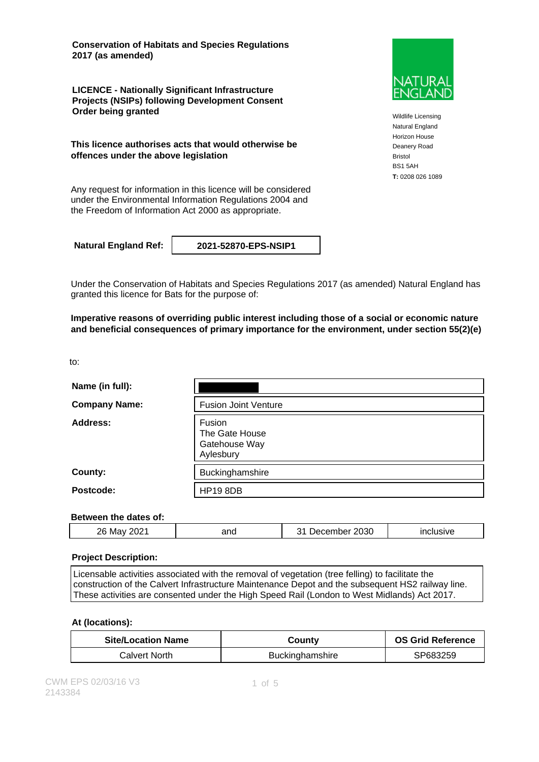**Conservation of Habitats and Species Regulations 2017 (as amended)**

**LICENCE - Nationally Significant Infrastructure Projects (NSIPs) following Development Consent Order being granted**

**This licence authorises acts that would otherwise be offences under the above legislation**

Any request for information in this licence will be considered under the Environmental Information Regulations 2004 and the Freedom of Information Act 2000 as appropriate.

**Natural England Ref: 2021-52870-EPS-NSIP1**

Under the Conservation of Habitats and Species Regulations 2017 (as amended) Natural England has granted this licence for Bats for the purpose of:

**Imperative reasons of overriding public interest including those of a social or economic nature and beneficial consequences of primary importance for the environment, under section 55(2)(e)**

to:

| Name (in full):      |                                                        |
|----------------------|--------------------------------------------------------|
| <b>Company Name:</b> | <b>Fusion Joint Venture</b>                            |
| Address:             | Fusion<br>The Gate House<br>Gatehouse Way<br>Aylesbury |
| County:              | Buckinghamshire                                        |
| Postcode:            | <b>HP19 8DB</b>                                        |

#### **Between the dates of:**

| 2021<br>26<br>2030<br>and<br>$\sim$ is $\sim$<br>.<br>Mav<br><br>- - -<br>usive<br>ecemper<br><u>یں</u><br><br>. |
|------------------------------------------------------------------------------------------------------------------|
|------------------------------------------------------------------------------------------------------------------|

#### **Project Description:**

Licensable activities associated with the removal of vegetation (tree felling) to facilitate the construction of the Calvert Infrastructure Maintenance Depot and the subsequent HS2 railway line. These activities are consented under the High Speed Rail (London to West Midlands) Act 2017.

### **At (locations):**

| <b>Site/Location Name</b> | Countv                 | <b>OS Grid Reference</b> |
|---------------------------|------------------------|--------------------------|
| Calvert North.            | <b>Buckinghamshire</b> | SP683259                 |



Wildlife Licensing Natural England Horizon House Deanery Road Bristol BS1 5AH **T:** 0208 026 1089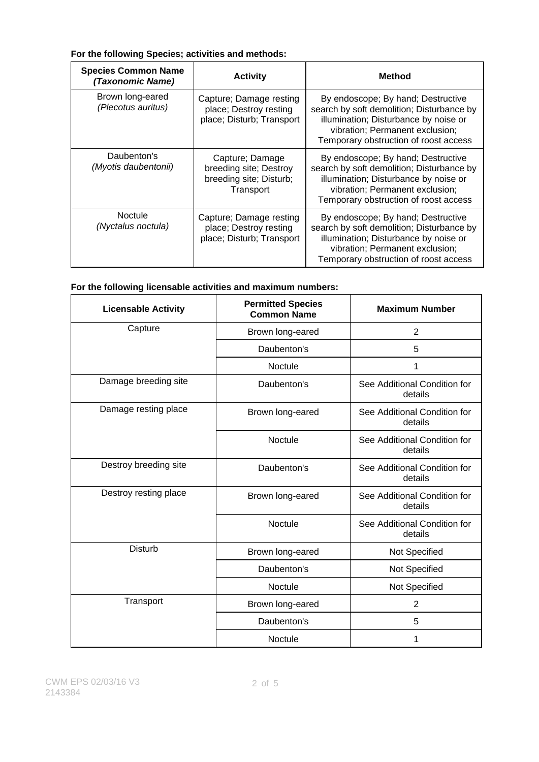### **For the following Species; activities and methods:**

| <b>Species Common Name</b><br>(Taxonomic Name) | <b>Activity</b>                                                                   | <b>Method</b>                                                                                                                                                                                        |
|------------------------------------------------|-----------------------------------------------------------------------------------|------------------------------------------------------------------------------------------------------------------------------------------------------------------------------------------------------|
| Brown long-eared<br>(Plecotus auritus)         | Capture; Damage resting<br>place; Destroy resting<br>place; Disturb; Transport    | By endoscope; By hand; Destructive<br>search by soft demolition; Disturbance by<br>illumination; Disturbance by noise or<br>vibration; Permanent exclusion;<br>Temporary obstruction of roost access |
| Daubenton's<br>(Myotis daubentonii)            | Capture; Damage<br>breeding site; Destroy<br>breeding site; Disturb;<br>Transport | By endoscope; By hand; Destructive<br>search by soft demolition; Disturbance by<br>illumination; Disturbance by noise or<br>vibration; Permanent exclusion;<br>Temporary obstruction of roost access |
| <b>Noctule</b><br>(Nyctalus noctula)           | Capture; Damage resting<br>place; Destroy resting<br>place; Disturb; Transport    | By endoscope; By hand; Destructive<br>search by soft demolition; Disturbance by<br>illumination; Disturbance by noise or<br>vibration; Permanent exclusion;<br>Temporary obstruction of roost access |

### **For the following licensable activities and maximum numbers:**

| <b>Licensable Activity</b> | <b>Permitted Species</b><br><b>Common Name</b> | <b>Maximum Number</b>                   |
|----------------------------|------------------------------------------------|-----------------------------------------|
| Capture                    | Brown long-eared                               | $\overline{2}$                          |
|                            | Daubenton's                                    | 5                                       |
|                            | Noctule                                        | 1                                       |
| Damage breeding site       | Daubenton's                                    | See Additional Condition for<br>details |
| Damage resting place       | Brown long-eared                               | See Additional Condition for<br>details |
|                            | Noctule                                        | See Additional Condition for<br>details |
| Destroy breeding site      | Daubenton's                                    | See Additional Condition for<br>details |
| Destroy resting place      | Brown long-eared                               | See Additional Condition for<br>details |
|                            | <b>Noctule</b>                                 | See Additional Condition for<br>details |
| <b>Disturb</b>             | Brown long-eared                               | Not Specified                           |
|                            | Daubenton's                                    | Not Specified                           |
|                            | Noctule                                        | Not Specified                           |
| Transport                  | Brown long-eared                               | $\overline{2}$                          |
|                            | Daubenton's                                    | 5                                       |
|                            | Noctule                                        | 1                                       |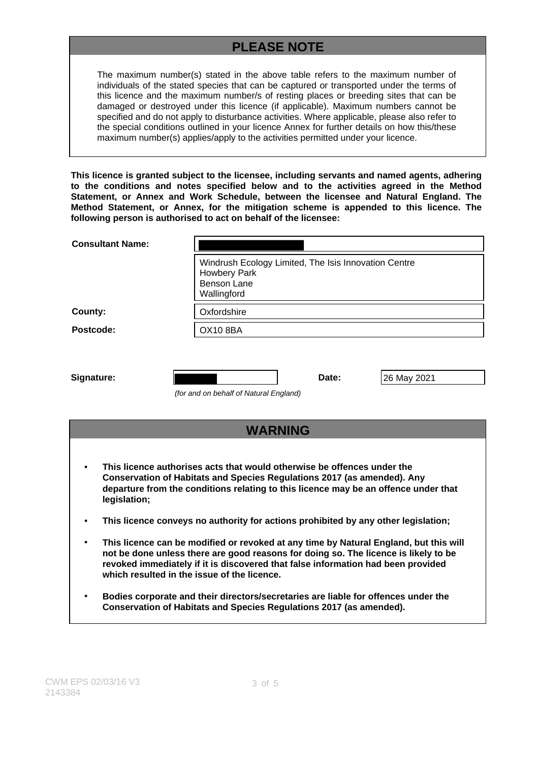# **PLEASE NOTE**

The maximum number(s) stated in the above table refers to the maximum number of individuals of the stated species that can be captured or transported under the terms of this licence and the maximum number/s of resting places or breeding sites that can be damaged or destroyed under this licence (if applicable). Maximum numbers cannot be specified and do not apply to disturbance activities. Where applicable, please also refer to the special conditions outlined in your licence Annex for further details on how this/these maximum number(s) applies/apply to the activities permitted under your licence.

**This licence is granted subject to the licensee, including servants and named agents, adhering to the conditions and notes specified below and to the activities agreed in the Method Statement, or Annex and Work Schedule, between the licensee and Natural England. The Method Statement, or Annex, for the mitigation scheme is appended to this licence. The following person is authorised to act on behalf of the licensee:**

| <b>Consultant Name:</b>                                                                                                                                                                                                                                          |                                                                                                                  |  |
|------------------------------------------------------------------------------------------------------------------------------------------------------------------------------------------------------------------------------------------------------------------|------------------------------------------------------------------------------------------------------------------|--|
|                                                                                                                                                                                                                                                                  | Windrush Ecology Limited, The Isis Innovation Centre<br><b>Howbery Park</b><br><b>Benson Lane</b><br>Wallingford |  |
| County:                                                                                                                                                                                                                                                          | Oxfordshire                                                                                                      |  |
| Postcode:                                                                                                                                                                                                                                                        | <b>OX10 8BA</b>                                                                                                  |  |
| Signature:                                                                                                                                                                                                                                                       | Date:<br>26 May 2021<br>(for and on behalf of Natural England)                                                   |  |
| <b>WARNING</b>                                                                                                                                                                                                                                                   |                                                                                                                  |  |
| This licence authorises acts that would otherwise be offences under the<br><b>Conservation of Habitats and Species Regulations 2017 (as amended). Any</b><br>departure from the conditions relating to this licence may be an offence under that<br>legislation; |                                                                                                                  |  |

- **This licence conveys no authority for actions prohibited by any other legislation;**
- **This licence can be modified or revoked at any time by Natural England, but this will not be done unless there are good reasons for doing so. The licence is likely to be revoked immediately if it is discovered that false information had been provided which resulted in the issue of the licence.**
- **Bodies corporate and their directors/secretaries are liable for offences under the Conservation of Habitats and Species Regulations 2017 (as amended).**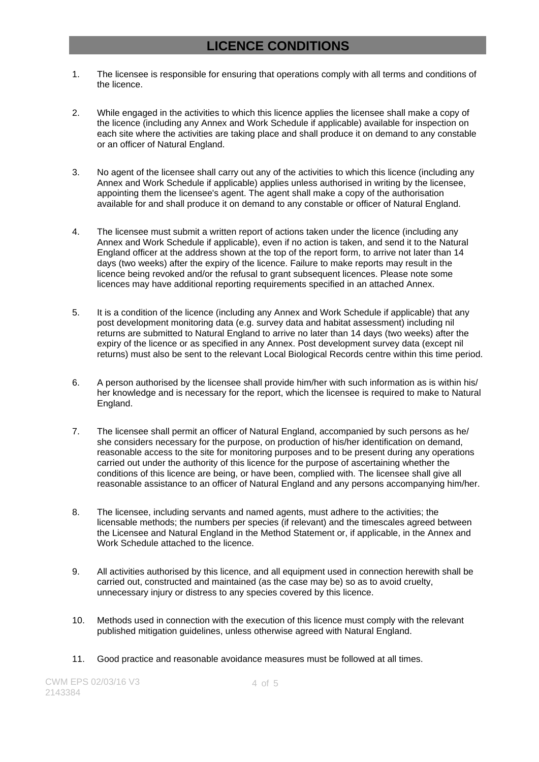## **LICENCE CONDITIONS**

- 1. The licensee is responsible for ensuring that operations comply with all terms and conditions of the licence.
- 2. While engaged in the activities to which this licence applies the licensee shall make a copy of the licence (including any Annex and Work Schedule if applicable) available for inspection on each site where the activities are taking place and shall produce it on demand to any constable or an officer of Natural England.
- 3. No agent of the licensee shall carry out any of the activities to which this licence (including any Annex and Work Schedule if applicable) applies unless authorised in writing by the licensee, appointing them the licensee's agent. The agent shall make a copy of the authorisation available for and shall produce it on demand to any constable or officer of Natural England.
- 4. The licensee must submit a written report of actions taken under the licence (including any Annex and Work Schedule if applicable), even if no action is taken, and send it to the Natural England officer at the address shown at the top of the report form, to arrive not later than 14 days (two weeks) after the expiry of the licence. Failure to make reports may result in the licence being revoked and/or the refusal to grant subsequent licences. Please note some licences may have additional reporting requirements specified in an attached Annex.
- 5. It is a condition of the licence (including any Annex and Work Schedule if applicable) that any post development monitoring data (e.g. survey data and habitat assessment) including nil returns are submitted to Natural England to arrive no later than 14 days (two weeks) after the expiry of the licence or as specified in any Annex. Post development survey data (except nil returns) must also be sent to the relevant Local Biological Records centre within this time period.
- 6. A person authorised by the licensee shall provide him/her with such information as is within his/ her knowledge and is necessary for the report, which the licensee is required to make to Natural England.
- 7. The licensee shall permit an officer of Natural England, accompanied by such persons as he/ she considers necessary for the purpose, on production of his/her identification on demand, reasonable access to the site for monitoring purposes and to be present during any operations carried out under the authority of this licence for the purpose of ascertaining whether the conditions of this licence are being, or have been, complied with. The licensee shall give all reasonable assistance to an officer of Natural England and any persons accompanying him/her.
- 8. The licensee, including servants and named agents, must adhere to the activities; the licensable methods; the numbers per species (if relevant) and the timescales agreed between the Licensee and Natural England in the Method Statement or, if applicable, in the Annex and Work Schedule attached to the licence.
- 9. All activities authorised by this licence, and all equipment used in connection herewith shall be carried out, constructed and maintained (as the case may be) so as to avoid cruelty, unnecessary injury or distress to any species covered by this licence.
- 10. Methods used in connection with the execution of this licence must comply with the relevant published mitigation guidelines, unless otherwise agreed with Natural England.
- 11. Good practice and reasonable avoidance measures must be followed at all times.